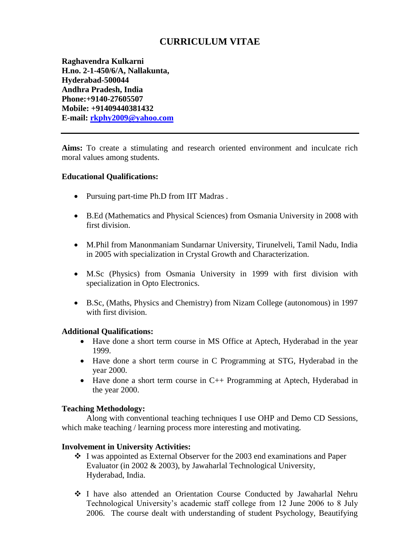# **CURRICULUM VITAE**

**Raghavendra Kulkarni H.no. 2-1-450/6/A, Nallakunta, Hyderabad-500044 Andhra Pradesh, India Phone:+9140-27605507 Mobile: +91409440381432 E-mail: [rkphy2009@yahoo.com](mailto:rkphy2009@yahoo.com)**

**Aims:** To create a stimulating and research oriented environment and inculcate rich moral values among students.

#### **Educational Qualifications:**

- Pursuing part-time Ph.D from IIT Madras.
- B.Ed (Mathematics and Physical Sciences) from Osmania University in 2008 with first division.
- M.Phil from Manonmaniam Sundarnar University, Tirunelveli, Tamil Nadu, India in 2005 with specialization in Crystal Growth and Characterization.
- M.Sc (Physics) from Osmania University in 1999 with first division with specialization in Opto Electronics.
- B.Sc, (Maths, Physics and Chemistry) from Nizam College (autonomous) in 1997 with first division.

#### **Additional Qualifications:**

- Have done a short term course in MS Office at Aptech, Hyderabad in the year 1999.
- Have done a short term course in C Programming at STG, Hyderabad in the year 2000.
- Have done a short term course in C++ Programming at Aptech, Hyderabad in the year 2000.

#### **Teaching Methodology:**

Along with conventional teaching techniques I use OHP and Demo CD Sessions, which make teaching / learning process more interesting and motivating.

#### **Involvement in University Activities:**

- I was appointed as External Observer for the 2003 end examinations and Paper Evaluator (in 2002 & 2003), by Jawaharlal Technological University, Hyderabad, India.
- I have also attended an Orientation Course Conducted by Jawaharlal Nehru Technological University's academic staff college from 12 June 2006 to 8 July 2006. The course dealt with understanding of student Psychology, Beautifying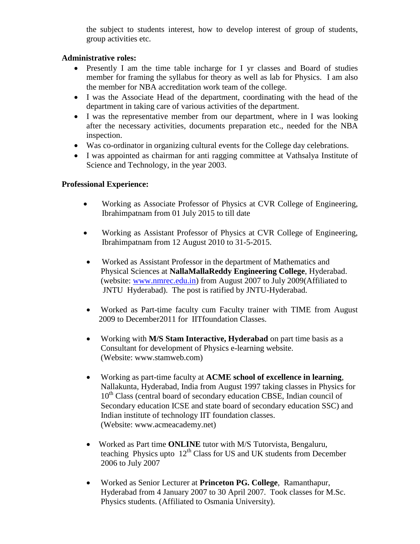the subject to students interest, how to develop interest of group of students, group activities etc.

### **Administrative roles:**

- Presently I am the time table incharge for I yr classes and Board of studies member for framing the syllabus for theory as well as lab for Physics. I am also the member for NBA accreditation work team of the college.
- I was the Associate Head of the department, coordinating with the head of the department in taking care of various activities of the department.
- I was the representative member from our department, where in I was looking after the necessary activities, documents preparation etc., needed for the NBA inspection.
- Was co-ordinator in organizing cultural events for the College day celebrations.
- I was appointed as chairman for anti ragging committee at Vathsalya Institute of Science and Technology, in the year 2003.

### **Professional Experience:**

- Working as Associate Professor of Physics at CVR College of Engineering, Ibrahimpatnam from 01 July 2015 to till date
- Working as Assistant Professor of Physics at CVR College of Engineering, Ibrahimpatnam from 12 August 2010 to 31-5-2015.
- Worked as Assistant Professor in the department of Mathematics and Physical Sciences at **NallaMallaReddy Engineering College**, Hyderabad. (website: [www.nmrec.edu.in\)](http://www.nmrec.edu.in/) from August 2007 to July 2009(Affiliated to JNTU Hyderabad). The post is ratified by JNTU-Hyderabad.
- Worked as Part-time faculty cum Faculty trainer with TIME from August 2009 to December2011 for IITfoundation Classes.
- Working with **M/S Stam Interactive, Hyderabad** on part time basis as a Consultant for development of Physics e-learning website. (Website: www.stamweb.com)
- Working as part-time faculty at **ACME school of excellence in learning**, Nallakunta, Hyderabad, India from August 1997 taking classes in Physics for 10<sup>th</sup> Class (central board of secondary education CBSE, Indian council of Secondary education ICSE and state board of secondary education SSC) and Indian institute of technology IIT foundation classes. (Website: www.acmeacademy.net)
- Worked as Part time **ONLINE** tutor with M/S Tutorvista, Bengaluru, teaching Physics upto  $12<sup>th</sup>$  Class for US and UK students from December 2006 to July 2007
- Worked as Senior Lecturer at **Princeton PG. College**, Ramanthapur, Hyderabad from 4 January 2007 to 30 April 2007. Took classes for M.Sc. Physics students. (Affiliated to Osmania University).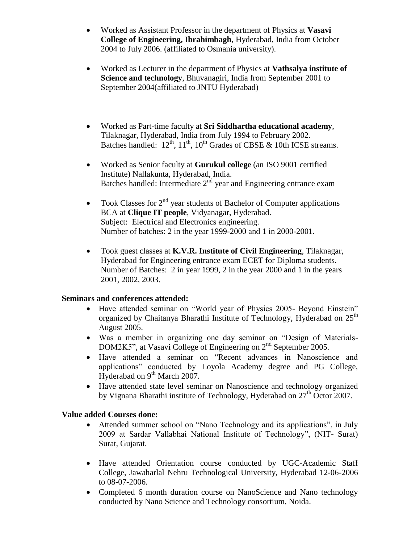- Worked as Assistant Professor in the department of Physics at **Vasavi College of Engineering, Ibrahimbagh**, Hyderabad, India from October 2004 to July 2006. (affiliated to Osmania university).
- Worked as Lecturer in the department of Physics at **Vathsalya institute of Science and technology**, Bhuvanagiri, India from September 2001 to September 2004(affiliated to JNTU Hyderabad)
- Worked as Part-time faculty at **Sri Siddhartha educational academy**, Tilaknagar, Hyderabad, India from July 1994 to February 2002. Batches handled:  $12^{th}$ ,  $11^{th}$ ,  $10^{th}$  Grades of CBSE & 10th ICSE streams.
- Worked as Senior faculty at **Gurukul college** (an ISO 9001 certified Institute) Nallakunta, Hyderabad, India. Batches handled: Intermediate  $2<sup>nd</sup>$  year and Engineering entrance exam
- Took Classes for  $2<sup>nd</sup>$  year students of Bachelor of Computer applications BCA at **Clique IT people**, Vidyanagar, Hyderabad. Subject: Electrical and Electronics engineering. Number of batches: 2 in the year 1999-2000 and 1 in 2000-2001.
- Took guest classes at **K.V.R. Institute of Civil Engineering**, Tilaknagar, Hyderabad for Engineering entrance exam ECET for Diploma students. Number of Batches: 2 in year 1999, 2 in the year 2000 and 1 in the years 2001, 2002, 2003.

### **Seminars and conferences attended:**

- Have attended seminar on "World year of Physics 2005- Beyond Einstein" organized by Chaitanya Bharathi Institute of Technology, Hyderabad on 25<sup>th</sup> August 2005.
- Was a member in organizing one day seminar on "Design of Materials-DOM2K5", at Vasavi College of Engineering on 2<sup>nd</sup> September 2005.
- Have attended a seminar on "Recent advances in Nanoscience and applications" conducted by Loyola Academy degree and PG College, Hyderabad on 9<sup>th</sup> March 2007.
- Have attended state level seminar on Nanoscience and technology organized by Vignana Bharathi institute of Technology, Hyderabad on  $27<sup>th</sup>$  Octor 2007.

# **Value added Courses done:**

- Attended summer school on "Nano Technology and its applications", in July 2009 at Sardar Vallabhai National Institute of Technology", (NIT- Surat) Surat, Gujarat.
- Have attended Orientation course conducted by UGC-Academic Staff College, Jawaharlal Nehru Technological University, Hyderabad 12-06-2006 to 08-07-2006.
- Completed 6 month duration course on NanoScience and Nano technology conducted by Nano Science and Technology consortium, Noida.